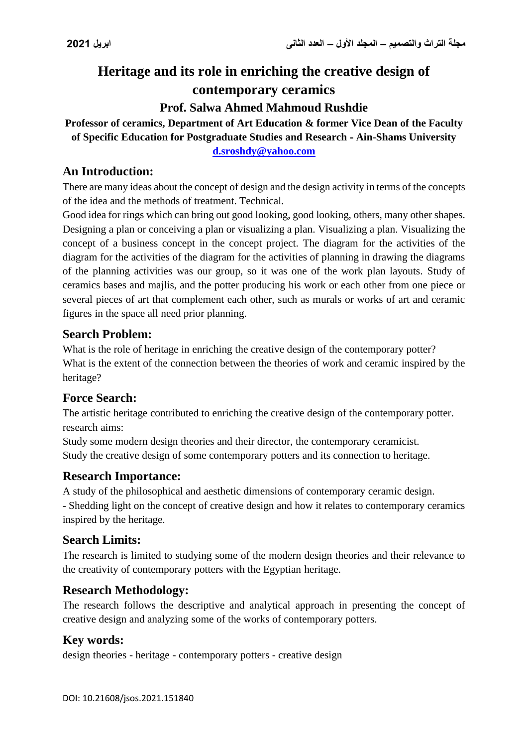# **Heritage and its role in enriching the creative design of contemporary ceramics**

# **Prof. Salwa Ahmed Mahmoud Rushdie**

# **Professor of ceramics, Department of Art Education & former Vice Dean of the Faculty of Specific Education for Postgraduate Studies and Research - Ain-Shams University**

**[d.sroshdy@yahoo.com](mailto:d.sroshdy@yahoo.com)**

# **An Introduction:**

There are many ideas about the concept of design and the design activity in terms of the concepts of the idea and the methods of treatment. Technical.

Good idea for rings which can bring out good looking, good looking, others, many other shapes. Designing a plan or conceiving a plan or visualizing a plan. Visualizing a plan. Visualizing the concept of a business concept in the concept project. The diagram for the activities of the diagram for the activities of the diagram for the activities of planning in drawing the diagrams of the planning activities was our group, so it was one of the work plan layouts. Study of ceramics bases and majlis, and the potter producing his work or each other from one piece or several pieces of art that complement each other, such as murals or works of art and ceramic figures in the space all need prior planning.

## **Search Problem:**

What is the role of heritage in enriching the creative design of the contemporary potter? What is the extent of the connection between the theories of work and ceramic inspired by the heritage?

# **Force Search:**

The artistic heritage contributed to enriching the creative design of the contemporary potter. research aims:

Study some modern design theories and their director, the contemporary ceramicist. Study the creative design of some contemporary potters and its connection to heritage.

# **Research Importance:**

A study of the philosophical and aesthetic dimensions of contemporary ceramic design. - Shedding light on the concept of creative design and how it relates to contemporary ceramics inspired by the heritage.

# **Search Limits:**

The research is limited to studying some of the modern design theories and their relevance to the creativity of contemporary potters with the Egyptian heritage.

# **Research Methodology:**

The research follows the descriptive and analytical approach in presenting the concept of creative design and analyzing some of the works of contemporary potters.

# **Key words:**

design theories - heritage - contemporary potters - creative design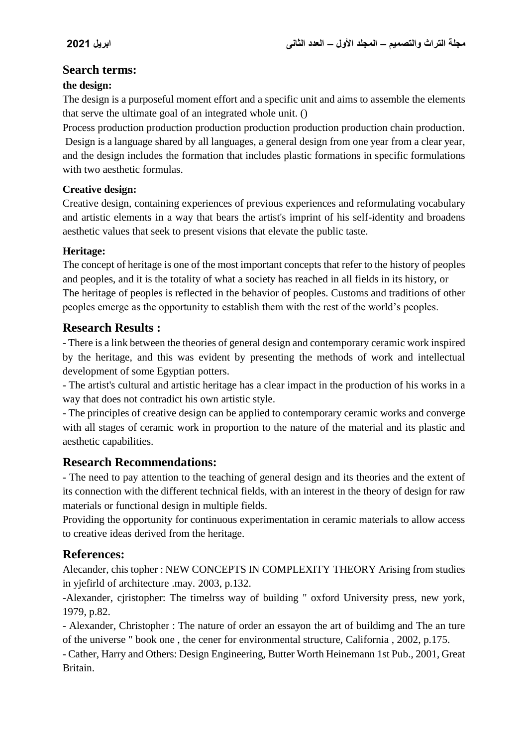## **Search terms:**

### **the design:**

The design is a purposeful moment effort and a specific unit and aims to assemble the elements that serve the ultimate goal of an integrated whole unit. ()

Process production production production production production production chain production. Design is a language shared by all languages, a general design from one year from a clear year, and the design includes the formation that includes plastic formations in specific formulations with two aesthetic formulas.

#### **Creative design:**

Creative design, containing experiences of previous experiences and reformulating vocabulary and artistic elements in a way that bears the artist's imprint of his self-identity and broadens aesthetic values that seek to present visions that elevate the public taste.

### **Heritage:**

The concept of heritage is one of the most important concepts that refer to the history of peoples and peoples, and it is the totality of what a society has reached in all fields in its history, or The heritage of peoples is reflected in the behavior of peoples. Customs and traditions of other peoples emerge as the opportunity to establish them with the rest of the world's peoples.

## **Research Results :**

- There is a link between the theories of general design and contemporary ceramic work inspired by the heritage, and this was evident by presenting the methods of work and intellectual development of some Egyptian potters.

- The artist's cultural and artistic heritage has a clear impact in the production of his works in a way that does not contradict his own artistic style.

- The principles of creative design can be applied to contemporary ceramic works and converge with all stages of ceramic work in proportion to the nature of the material and its plastic and aesthetic capabilities.

# **Research Recommendations:**

- The need to pay attention to the teaching of general design and its theories and the extent of its connection with the different technical fields, with an interest in the theory of design for raw materials or functional design in multiple fields.

Providing the opportunity for continuous experimentation in ceramic materials to allow access to creative ideas derived from the heritage.

# **References:**

Alecander, chis topher : NEW CONCEPTS IN COMPLEXITY THEORY Arising from studies in yjefirld of architecture .may. 2003, p.132.

-Alexander, cjristopher: The timelrss way of building " oxford University press, new york, 1979, p.82.

- Alexander, Christopher : The nature of order an essayon the art of buildimg and The an ture of the universe " book one , the cener for environmental structure, California , 2002, p.175.

- Cather, Harry and Others: Design Engineering, Butter Worth Heinemann 1st Pub., 2001, Great Britain.